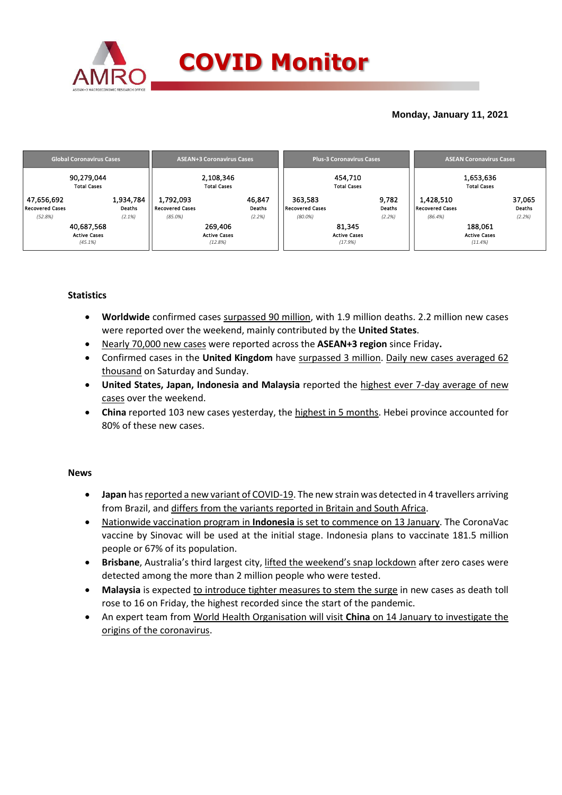

## **Monday, January 11, 2021**

|                        | <b>Global Coronavirus Cases</b>  |                     | <b>ASEAN+3 Coronavirus Cases</b> |                        | <b>Plus-3 Coronavirus Cases</b> | <b>ASEAN Coronavirus Cases</b>  |        |  |
|------------------------|----------------------------------|---------------------|----------------------------------|------------------------|---------------------------------|---------------------------------|--------|--|
|                        | 90,279,044<br><b>Total Cases</b> |                     | 2,108,346<br><b>Total Cases</b>  |                        | 454,710<br><b>Total Cases</b>   | 1,653,636<br><b>Total Cases</b> |        |  |
| 47,656,692             | 1,934,784                        | 1,792,093           | 46,847                           | 363,583                | 9,782                           | 1,428,510                       | 37,065 |  |
| <b>Recovered Cases</b> | Deaths                           | Recovered Cases     | Deaths                           | <b>Recovered Cases</b> | Deaths                          | Recovered Cases                 | Deaths |  |
| (52.8%)                | (2.1%)                           | $(85.0\%)$          | (2.2%)                           | $(80.0\%)$             | (2.2%)                          | (86.4%)                         | (2.2%) |  |
| 40,687,568             |                                  | 269,406             |                                  |                        | 81,345                          | 188,061                         |        |  |
| <b>Active Cases</b>    |                                  | <b>Active Cases</b> |                                  |                        | <b>Active Cases</b>             | <b>Active Cases</b>             |        |  |
| (45.1%)                |                                  | (12.8%)             |                                  |                        | (17.9%)                         | (11.4%                          |        |  |

## **Statistics**

- **Worldwide** confirmed cases surpassed 90 million, with 1.9 million deaths. 2.2 million new cases were reported over the weekend, mainly contributed by the **United States**.
- Nearly 70,000 new cases were reported across the **ASEAN+3 region** since Friday**.**
- Confirmed cases in the **United Kingdom** have surpassed 3 million. Daily new cases averaged 62 thousand on Saturday and Sunday.
- **United States, Japan, Indonesia and Malaysia** reported the highest ever 7-day average of new cases over the weekend.
- **China** reported 103 new cases yesterday, the highest in 5 months. Hebei province accounted for 80% of these new cases.

### **News**

- **Japan** has reported a new variant of COVID-19. The new strain was detected in 4 travellers arriving from Brazil, and differs from the variants reported in Britain and South Africa.
- Nationwide vaccination program in **Indonesia** is set to commence on 13 January. The CoronaVac vaccine by Sinovac will be used at the initial stage. Indonesia plans to vaccinate 181.5 million people or 67% of its population.
- **Brisbane**, Australia's third largest city, lifted the weekend's snap lockdown after zero cases were detected among the more than 2 million people who were tested.
- **Malaysia** is expected to introduce tighter measures to stem the surge in new cases as death toll rose to 16 on Friday, the highest recorded since the start of the pandemic.
- An expert team from World Health Organisation will visit **China** on 14 January to investigate the origins of the coronavirus.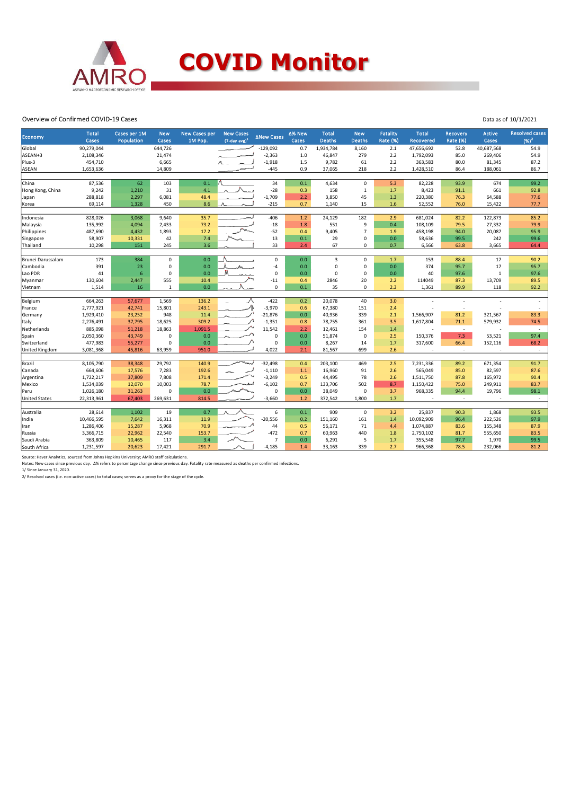

#### Overview of Confirmed COVID-19 Cases

| Economy               | <b>Total</b><br>Cases | Cases per 1M<br>Population | <b>New</b><br>Cases | <b>New Cases per</b><br>1M Pop. | <b>New Cases</b><br>$(7$ -day avg) <sup>1</sup> | ∆New Cases     | ∆% New<br>Cases | <b>Total</b><br><b>Deaths</b> | <b>New</b><br><b>Deaths</b> | <b>Fatality</b><br><b>Rate (%)</b> | <b>Total</b><br><b>Recovered</b> | <b>Recovery</b><br>Rate (%) | <b>Active</b><br>Cases   | <b>Resolved cases</b><br>$(96)^2$ |
|-----------------------|-----------------------|----------------------------|---------------------|---------------------------------|-------------------------------------------------|----------------|-----------------|-------------------------------|-----------------------------|------------------------------------|----------------------------------|-----------------------------|--------------------------|-----------------------------------|
| Global                | 90,279,044            |                            | 644,726             |                                 |                                                 | $-129,092$     | 0.7             | 1,934,784                     | 8,160                       | 2.1                                | 47,656,692                       | 52.8                        | 40,687,568               | 54.9                              |
| ASEAN+3               | 2,108,346             |                            | 21,474              |                                 |                                                 | $-2,363$       | $1.0$           | 46,847                        | 279                         | 2.2                                | 1,792,093                        | 85.0                        | 269,406                  | 54.9                              |
| Plus-3                | 454,710               |                            | 6,665               |                                 |                                                 | $-1,918$       | 1.5             | 9,782                         | 61                          | 2.2                                | 363,583                          | 80.0                        | 81,345                   | 87.2                              |
| <b>ASEAN</b>          | 1,653,636             |                            | 14,809              |                                 |                                                 | $-445$         | 0.9             | 37,065                        | 218                         | 2.2                                | 1,428,510                        | 86.4                        | 188,061                  | 86.7                              |
|                       |                       |                            |                     |                                 |                                                 |                |                 |                               |                             |                                    |                                  |                             |                          |                                   |
| China                 | 87,536                | 62                         | 103                 | 0.1                             |                                                 | 34             | 0.1             | 4,634                         | $\mathbf 0$                 | 5.3                                | 82,228                           | 93.9                        | 674                      | 99.2                              |
| Hong Kong, China      | 9,242                 | 1,210                      | 31                  | 4.1                             |                                                 | $-28$          | 0.3             | 158                           | $\mathbf{1}$                | 1.7                                | 8,423                            | 91.1                        | 661                      | 92.8                              |
| Japan                 | 288,818               | 2,297                      | 6,081               | 48.4                            |                                                 | $-1,709$       | 2.2             | 3,850                         | 45                          | 1.3                                | 220,380                          | 76.3                        | 64,588                   | 77.6                              |
| Korea                 | 69,114                | 1,328                      | 450                 | 8.6                             |                                                 | $-215$         | 0.7             | 1,140                         | 15                          | 1.6                                | 52,552                           | 76.0                        | 15,422                   | 77.7                              |
|                       |                       |                            |                     |                                 |                                                 |                |                 |                               |                             |                                    |                                  |                             |                          |                                   |
| Indonesia             | 828,026               | 3,068                      | 9,640               | 35.7                            |                                                 | $-406$         | 1.2             | 24,129                        | 182<br>9                    | 2.9<br>0.4                         | 681,024                          | 82.2                        | 122,873<br>27,332        | 85.2                              |
| Malaysia              | 135,992               | 4,094                      | 2,433               | 73.2                            |                                                 | $\mbox{-}18$   | 1.8             | 551                           |                             |                                    | 108,109                          | 79.5                        |                          | 79.9                              |
| Philippines           | 487,690               | 4,432                      | 1,893               | 17.2                            |                                                 | $-52$          | 0.4             | 9,405                         | $\overline{7}$              | 1.9                                | 458,198                          | 94.0                        | 20,087                   | 95.9                              |
| Singapore             | 58,907                | 10,331                     | 42                  | 7.4                             |                                                 | 13             | $0.1\,$         | 29                            | $\Omega$                    | 0.0                                | 58,636                           | 99.5                        | 242                      | 99.6                              |
| Thailand              | 10,298                | 151                        | 245                 | 3.6                             |                                                 | 33             | 2.4             | 67                            | 0                           | 0.7                                | 6,566                            | 63.8                        | 3,665                    | 64.4                              |
| Brunei Darussalam     | 173                   | 384                        | $\mathbf 0$         | 0.0                             |                                                 | $\mathbf 0$    | 0.0             | $\overline{3}$                | $\mathbf 0$                 | 1.7                                | 153                              | 88.4                        | 17                       | 90.2                              |
| Cambodia              | 391                   | 23                         | 0                   | 0.0                             | $\mathcal{A}_{\mathcal{A}}$                     | $-4$           | 0.0             | $\mathbf 0$                   | $\mathbf 0$                 | 0.0                                | 374                              | 95.7                        | 17                       | 95.7                              |
| Lao PDR               | 41                    | 6                          | 0                   | 0.0                             |                                                 | $\mathbf 0$    | 0.0             | $\Omega$                      | $\mathbf 0$                 | 0.0                                | 40                               | 97.6                        | $\mathbf{1}$             | 97.6                              |
| Myanmar               | 130,604               | 2,447                      | 555                 | 10.4                            |                                                 | $-11$          | 0.4             | 2846                          | 20                          | 2.2                                | 114049                           | 87.3                        | 13,709                   | 89.5                              |
| Vietnam               | 1,514                 | 16                         | $\mathbf{1}$        | 0.0                             |                                                 | $\mathsf 0$    | 0.1             | 35                            | $\mathbf 0$                 | 2.3                                | 1,361                            | 89.9                        | 118                      | 92.2                              |
|                       |                       |                            |                     |                                 |                                                 |                |                 |                               |                             |                                    |                                  |                             |                          |                                   |
| Belgium               | 664,263               | 57,677                     | 1,569               | 136.2                           |                                                 | $-422$         | 0.2             | 20,078                        | 40                          | 3.0                                |                                  |                             |                          |                                   |
| France                | 2,777,921             | 42,741                     | 15,801              | 243.1                           | ᠕⊾                                              | $-3,970$       | 0.6             | 67,380                        | 151                         | 2.4                                |                                  | $\overline{a}$              |                          |                                   |
| Germany               | 1,929,410             | 23,252                     | 948                 | 11.4                            |                                                 | $-21,876$      | 0.0             | 40,936                        | 339                         | 2.1                                | 1,566,907                        | 81.2                        | 321,567                  | 83.3                              |
| Italy                 | 2,276,491             | 37,795                     | 18,625              | 309.2                           |                                                 | $-1,351$       | 0.8             | 78,755                        | 361                         | 3.5                                | 1,617,804                        | 71.1                        | 579,932                  | 74.5                              |
| Netherlands           | 885,098               | 51,218                     | 18,863              | 1,091.5                         | ∼                                               | 11,542         | 2.2             | 12,461                        | 154                         | 1.4                                | $\overline{a}$                   | $\sim$                      |                          | $\sim$                            |
| Spain                 | 2,050,360             | 43,749                     | 0                   | 0.0                             |                                                 | 0              | 0.0             | 51,874                        | 0                           | 2.5                                | 150,376                          | 7.3                         | 53,521                   | 97.4                              |
| Switzerland           | 477,983               | 55,277                     | 0                   | $0.0\,$                         |                                                 | $\mathbf 0$    | 0.0             | 8,267                         | 14                          | 1.7                                | 317,600                          | 66.4                        | 152,116                  | 68.2                              |
| <b>United Kingdom</b> | 3,081,368             | 45,816                     | 63,959              | 951.0                           |                                                 | 4,022          | 2.1             | 81,567                        | 699                         | 2.6                                | $\sim$                           | $\overline{\phantom{a}}$    | $\overline{\phantom{a}}$ | $\sim$                            |
|                       |                       |                            |                     |                                 |                                                 |                |                 |                               |                             |                                    |                                  |                             |                          |                                   |
| Brazil                | 8,105,790             | 38,348                     | 29,792              | 140.9                           |                                                 | $-32,498$      | 0.4             | 203,100                       | 469                         | 2.5                                | 7,231,336                        | 89.2                        | 671,354                  | 91.7                              |
| Canada                | 664,606               | 17,576                     | 7,283               | 192.6                           |                                                 | $-1,110$       | $1.1\,$         | 16,960                        | 91                          | 2.6                                | 565,049                          | 85.0                        | 82,597                   | 87.6                              |
| Argentina             | 1,722,217             | 37,809                     | 7,808               | 171.4                           |                                                 | $-3,249$       | 0.5             | 44,495                        | 78                          | 2.6                                | 1,511,750                        | 87.8                        | 165,972                  | 90.4                              |
| Mexico                | 1,534,039             | 12,070                     | 10,003              | 78.7                            |                                                 | $-6,102$       | 0.7             | 133,706                       | 502                         | 8.7                                | 1,150,422                        | 75.0                        | 249,911                  | 83.7                              |
| Peru                  | 1,026,180             | 31,263                     | 0                   | 0.0                             |                                                 | $\mathbf 0$    | 0.0             | 38,049                        | $\mathbf 0$                 | 3.7                                | 968,335                          | 94.4                        | 19,796                   | 98.1                              |
| <b>United States</b>  | 22,313,961            | 67,403                     | 269,631             | 814.5                           |                                                 | $-3,660$       | 1.2             | 372,542                       | 1,800                       | 1.7                                | ÷,                               | $\sim$                      | $\overline{\phantom{a}}$ | $\sim$                            |
|                       |                       |                            |                     |                                 |                                                 |                |                 |                               |                             |                                    |                                  |                             |                          |                                   |
| Australia             | 28,614                | 1,102                      | 19                  | 0.7                             |                                                 | 6              | 0.1             | 909                           | $\mathsf 0$                 | 3.2                                | 25,837                           | 90.3                        | 1,868                    | 93.5                              |
| India                 | 10,466,595            | 7,642                      | 16,311              | 11.9                            |                                                 | $-20,556$      | 0.2             | 151,160                       | 161                         | 1.4                                | 10,092,909                       | 96.4                        | 222,526                  | 97.9                              |
| Iran                  | 1,286,406             | 15,287                     | 5,968               | 70.9                            |                                                 | 44             | 0.5             | 56,171                        | 71                          | 4.4                                | 1,074,887                        | 83.6                        | 155,348                  | 87.9                              |
| Russia                | 3,366,715             | 22,962                     | 22,540              | 153.7                           |                                                 | $-472$         | 0.7             | 60,963                        | 440                         | 1.8                                | 2,750,102                        | 81.7                        | 555,650                  | 83.5                              |
| Saudi Arabia          | 363,809               | 10,465                     | 117                 | 3.4                             |                                                 | $\overline{7}$ | $0.0\,$         | 6,291                         | 5                           | 1.7                                | 355,548                          | 97.7                        | 1,970                    | 99.5                              |
| South Africa          | 1,231,597             | 20,623                     | 17,421              | 291.7                           |                                                 | $-4,185$       | 1.4             | 33,163                        | 339                         | 2.7                                | 966,368                          | 78.5                        | 232,066                  | 81.2                              |

Data as of 10/1/2021

Source: Haver Analytics, sourced from Johns Hopkins University; AMRO staff calculations.<br>Notes: New cases since previous day. ∆% refers to percentage change since previous day. Fatality rate measured as deaths per confirm

2/ Resolved cases (i.e. non-active cases) to total cases; serves as a proxy for the stage of the cycle.